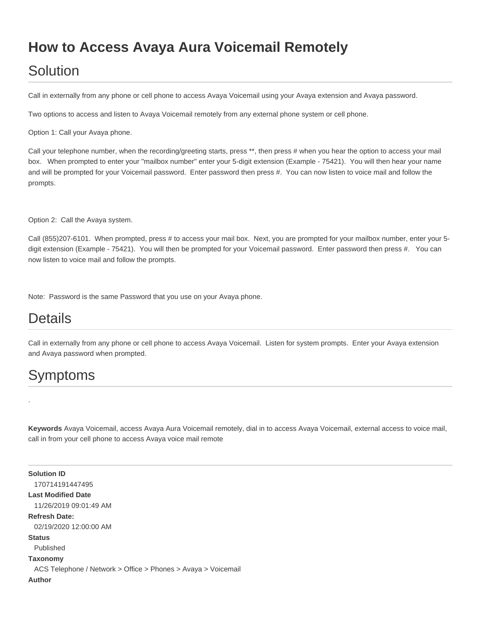## **How to Access Avaya Aura Voicemail Remotely**

## Solution

Call in externally from any phone or cell phone to access Avaya Voicemail using your Avaya extension and Avaya password.

Two options to access and listen to Avaya Voicemail remotely from any external phone system or cell phone.

Option 1: Call your Avaya phone.

Call your telephone number, when the recording/greeting starts, press \*\*, then press # when you hear the option to access your mail box. When prompted to enter your "mailbox number" enter your 5-digit extension (Example - 75421). You will then hear your name and will be prompted for your Voicemail password. Enter password then press #. You can now listen to voice mail and follow the prompts.

Option 2: Call the Avaya system.

Call (855)207-6101. When prompted, press # to access your mail box. Next, you are prompted for your mailbox number, enter your 5 digit extension (Example - 75421). You will then be prompted for your Voicemail password. Enter password then press #. You can now listen to voice mail and follow the prompts.

Note: Password is the same Password that you use on your Avaya phone.

## Details

Call in externally from any phone or cell phone to access Avaya Voicemail. Listen for system prompts. Enter your Avaya extension and Avaya password when prompted.

## Symptoms

.

**Keywords** Avaya Voicemail, access Avaya Aura Voicemail remotely, dial in to access Avaya Voicemail, external access to voice mail, call in from your cell phone to access Avaya voice mail remote

**Solution ID** 170714191447495 **Last Modified Date** 11/26/2019 09:01:49 AM **Refresh Date:** 02/19/2020 12:00:00 AM **Status** Published **Taxonomy** ACS Telephone / Network > Office > Phones > Avaya > Voicemail **Author**